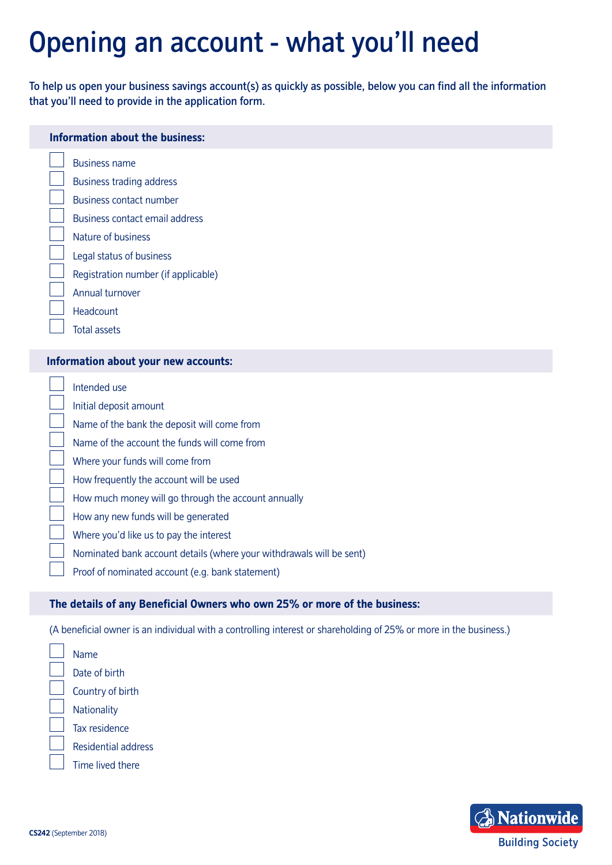# Opening an account - what you'll need

To help us open your business savings account(s) as quickly as possible, below you can find all the information that you'll need to provide in the application form.

#### **Information about the business:**

- Business name
- Business trading address
- Business contact number
- Business contact email address
- Nature of business
- Legal status of business
- Registration number (if applicable)
- Annual turnover
- Headcount
- Total assets

#### **Information about your new accounts:**

- Intended use
- Initial deposit amount

Name of the bank the deposit will come from

- Name of the account the funds will come from
- Where your funds will come from
- How frequently the account will be used
- How much money will go through the account annually
- How any new funds will be generated
- Where you'd like us to pay the interest
- Nominated bank account details (where your withdrawals will be sent)
- Proof of nominated account (e.g. bank statement)

#### **The details of any Beneficial Owners who own 25% or more of the business:**

(A beneficial owner is an individual with a controlling interest or shareholding of 25% or more in the business.)

Name Date of birth Country of birth **Nationality** Tax residence Residential address Time lived there